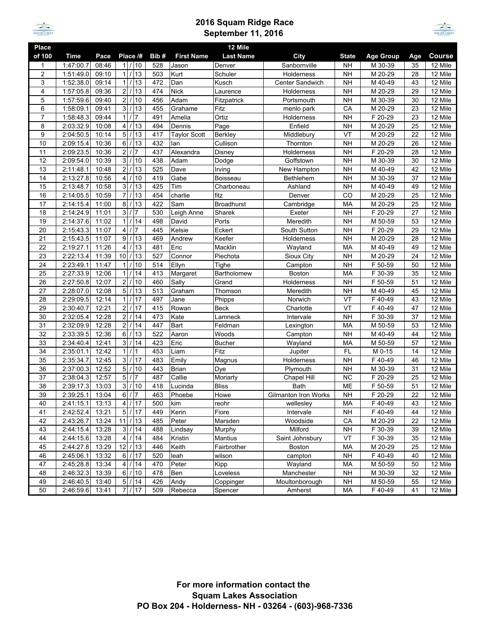

## **2016 Squam Ridge Race September 11, 2016**



| Place           |           |       |                                    |      |                     | 12 Mile           |                             |              |                      |     |               |
|-----------------|-----------|-------|------------------------------------|------|---------------------|-------------------|-----------------------------|--------------|----------------------|-----|---------------|
| of 100          | Time      | Pace  | Place /#                           | Bib# | <b>First Name</b>   | <b>Last Name</b>  | City                        | <b>State</b> | <b>Age Group</b>     | Age | <b>Course</b> |
| 1               | 1:47:00.7 | 08:46 | 11/<br>10                          | 528  | Jason               | Denver            | Sanbornville                | <b>NH</b>    | M 30-39              | 35  | 12 Mile       |
| $\overline{2}$  | 1:51:49.0 | 09:10 | 13<br>1 <sup>1</sup>               | 503  | Kurt                | Schuler           | Holderness                  | <b>NH</b>    | M 20-29              | 28  | 12 Mile       |
| 3               | 1:52:38.0 | 09:14 | $1$  <br>13                        | 472  | Dan                 | Kusch             | <b>Center Sandwich</b>      | <b>NH</b>    | M 40-49              | 43  | 12 Mile       |
| 4               | 1:57:05.8 | 09:36 | $\overline{2}$<br>13               | 474  | <b>Nick</b>         | Laurence          | Holderness                  | <b>NH</b>    | M 20-29              | 29  | 12 Mile       |
| 5               | 1:57:59.6 | 09:40 | $\overline{2}$<br>10               | 456  | Adam                | Fitzpatrick       | Portsmouth                  | <b>NH</b>    | M 30-39              | 30  | 12 Mile       |
| 6               | 1:58:09.1 | 09:41 | 3 <sup>1</sup><br>13<br>$\prime$   | 455  | Grahame             | Fitz              | menlo park                  | CA           | M 20-29              | 23  | 12 Mile       |
| $\overline{7}$  | 1:58:48.3 | 09:44 | 1/<br>7                            | 491  | Amelia              | Ortiz             | Holderness                  | <b>NH</b>    | F 20-29              | 23  | 12 Mile       |
| 8               | 2:03:32.9 | 10:08 | $\overline{4}$<br>13               | 494  | Dennis              | Page              | Enfield                     | <b>NH</b>    | M 20-29              | 25  | 12 Mile       |
| 9               | 2:04:50.5 | 10:14 | $\overline{5}$<br>13               | 417  | <b>Taylor Scott</b> | Berkley           | Middlebury                  | VT           | M 20-29              | 22  | 12 Mile       |
| 10              | 2:09:15.4 | 10:36 | $6 \,$<br>13                       | 432  | lan                 | Cullison          | Thornton                    | <b>NH</b>    | M 20-29              | 26  | 12 Mile       |
| 11              | 2:09:23.5 | 10:36 | $\overline{2}$<br>7                | 437  | Alexandra           | Disney            | Holderness                  | <b>NH</b>    | F 20-29              | 28  | 12 Mile       |
| 12              | 2:09:54.0 | 10:39 | 3 <sup>1</sup><br>10               | 438  | Adam                | Dodge             | Goffstown                   | <b>NH</b>    | M 30-39              | 30  | 12 Mile       |
| 13              | 2:11:48.1 | 10:48 | $\overline{2}$<br>13               | 525  | Dave                | Irving            | New Hampton                 | <b>NH</b>    | M 40-49              | 42  | 12 Mile       |
| $\overline{14}$ | 2:13:27.8 | 10:56 | 4<br>10                            | 419  | Gabe                | Boisseau          | Bethlehem                   | <b>NH</b>    | M 30-39              | 37  | 12 Mile       |
| 15              | 2:13:48.7 | 10:58 | 3/<br>13                           | 425  | Tim                 | Charboneau        | Ashland                     | <b>NH</b>    | M 40-49              | 49  | 12 Mile       |
| 16              | 2:14:05.5 | 10:59 | $\overline{7}$<br>13               | 454  | charlie             | fitz              | Denver                      | CO           | M 20-29              | 25  | 12 Mile       |
| 17              | 2:14:15.4 | 11:00 | 8<br>13                            | 422  | Sam                 | <b>Broadhurst</b> | Cambridge                   | MA           | M 20-29              | 25  | 12 Mile       |
| 18              | 2:14:24.9 | 11:01 | $\overline{3}$<br>7                | 530  | Leigh Anne          | Sharek            | Exeter                      | <b>NH</b>    | F 20-29              | 27  | 12 Mile       |
| 19              | 2:14:37.6 | 11:02 | $\vert$ 1<br>14                    | 498  | David               | Ports             | Meredith                    | <b>NH</b>    | M 50-59              | 53  | 12 Mile       |
| 20              | 2:15:43.3 | 11:07 | $\overline{4}$<br>7                | 445  | Kelsie              | Eckert            | South Sutton                | <b>NH</b>    | F 20-29              | 29  | 12 Mile       |
| 21              | 2:15:43.5 | 11:07 | 9/<br>13                           | 469  | Andrew              | Keefer            | Holderness                  | <b>NH</b>    | M 20-29              | 28  | 12 Mile       |
| 22              | 2:19:27.1 | 11:26 | $\overline{4}$<br>13               | 481  | Eric                | Macklin           | Wayland                     | <b>MA</b>    | M 40-49              | 49  | 12 Mile       |
| 23              | 2:22:13.4 | 11:39 | 10<br>13                           | 527  | Connor              | Piechota          | Sioux City                  | <b>NH</b>    | M 20-29              | 24  | 12 Mile       |
| 24              | 2:23:49.1 | 11:47 | 10<br>1                            | 514  | Ellyn               | Tighe             | Campton                     | <b>NH</b>    | F 50-59              | 50  | 12 Mile       |
| $\overline{25}$ | 2:27:33.9 | 12:06 | 1<br>14                            | 413  | Margaret            | Bartholomew       | Boston                      | <b>MA</b>    | F 30-39              | 35  | 12 Mile       |
| 26              | 2:27:50.8 | 12:07 | 2/<br>10                           | 460  | Sally               | Grand             | Holderness                  | <b>NH</b>    | F 50-59              | 51  | 12 Mile       |
| 27              | 2:28:07.0 | 12:08 | 5 <sup>1</sup><br>13               | 513  | Graham              | Thomson           | Meredith                    | <b>NH</b>    | M 40-49              | 45  | 12 Mile       |
| 28              | 2:29:09.5 | 12:14 | 1 <sup>1</sup><br>17               | 497  | Jane                | Phipps            | Norwich                     | VT           | F 40-49              | 43  | 12 Mile       |
| 29              | 2:30:40.7 | 12:21 | $\overline{2}$<br>17               | 415  | Rowan               | Beck              | Charlotte                   | VT           | F 40-49              | 47  | 12 Mile       |
| 30              | 2:32:05.4 | 12:28 | $\overline{2}$<br>14               | 473  | Kate                | Lamneck           | Intervale                   | <b>NH</b>    | F 30-39              | 37  | 12 Mile       |
| 31              | 2:32:09.9 | 12:28 | 2/<br>14                           | 447  | <b>Bart</b>         | Feldman           | Lexington                   | MA           | M 50-59              | 53  | 12 Mile       |
| 32              | 2:33:39.5 | 12:36 | $6 \overline{6}$<br>$\prime$<br>13 | 522  | Aaron               | Woods             | Campton                     | <b>NH</b>    | M 40-49              | 44  | 12 Mile       |
| 33              | 2:34:40.4 | 12:41 | $\overline{3}$<br>14               | 423  | Eric                | <b>Bucher</b>     | Wayland                     | <b>MA</b>    | M 50-59              | 57  | 12 Mile       |
| 34              | 2:35:01.1 | 12:42 | 1 <sup>1</sup><br>1                | 453  | Liam                | Fitz              | Jupiter                     | FL           | M 0-15               | 14  | 12 Mile       |
| 35              | 2:35:34.7 | 12:45 | 3 <sup>1</sup><br>17               | 483  | Emily               | Magnus            | Holderness                  | <b>NH</b>    | F 40-49              | 46  | 12 Mile       |
| 36              | 2:37:00.3 | 12:52 | 5 <sup>1</sup><br>10               | 443  | <b>Brian</b>        | Dye               | Plymouth                    | <b>NH</b>    | M 30-39              | 31  | 12 Mile       |
| 37              | 2:38:04.3 | 12:57 | 5/<br>$\overline{7}$               | 487  | Callie              | Moriarty          | Chapel Hill                 | <b>NC</b>    | F 20-29              | 25  | 12 Mile       |
| 38              | 2:39:17.3 | 13:03 | $\overline{3}$<br>10               | 418  | Lucinda             | <b>Bliss</b>      | <b>Bath</b>                 | ME           | $\overline{F}$ 50-59 | 51  | 12 Mile       |
| 39              | 2:39:25.1 | 13:04 | $6 \overline{6}$<br>7<br>$\prime$  | 463  | Phoebe              | Howe              | <b>Gilmanton Iron Works</b> | <b>NH</b>    | F 20-29              | 22  | 12 Mile       |
| 40              | 2:41:15.1 | 13:13 | $4$   / 17                         | 500  | kim                 | reohr             | wellesley                   | МA           | F 40-49              | 43  | 12 Mile       |
| 41              | 2:42:52.4 | 13:21 | 5/<br>17                           | 449  | Kerin               | Fiore             | Intervale                   | <b>NH</b>    | F 40-49              | 44  | 12 Mile       |
| 42              | 2:43:26.7 | 13:24 | $11$ $/$<br>13                     | 485  | Peter               | Marsden           | Woodside                    | CA           | M 20-29              | 22  | 12 Mile       |
| 43              | 2:44:15.4 | 13:28 | 3/<br>14                           | 488  | Lindsay             | Murphy            | Milford                     | <b>NH</b>    | F 30-39              | 39  | 12 Mile       |
| 44              | 2:44:15.6 | 13:28 | 4/<br>14                           | 484  | Kristin             | Mantius           | Saint Johnsbury             | VT           | F 30-39              | 35  | 12 Mile       |
| 45              | 2:44:27.8 | 13:29 | 12/<br>13                          | 446  | Keith               | Fairbrother       | Boston                      | МA           | M 20-29              | 25  | 12 Mile       |
| 46              | 2:45:06.1 | 13:32 | $6$ /<br>17                        | 520  | leah                | wilson            | campton                     | <b>NH</b>    | F 40-49              | 40  | 12 Mile       |
| 47              | 2:45:28.8 | 13:34 | 4/<br>14                           | 470  | Peter               | Kipp              | Wayland                     | MA           | M 50-59              | 50  | 12 Mile       |
| 48              | 2:46:32.3 | 13:39 | 6/<br>10                           | 478  | Ben                 | Loveless          | Manchester                  | <b>NH</b>    | M 30-39              | 32  | 12 Mile       |
| 49              | 2:46:40.5 | 13:40 | 5/14                               | 426  | Andy                | Coppinger         | Moultonborough              | <b>NH</b>    | M 50-59              | 55  | 12 Mile       |
| 50              | 2:46:59.6 | 13:41 | 7/17                               | 509  | Rebecca             | Spencer           | Amherst                     | MA           | F 40-49              | 41  | 12 Mile       |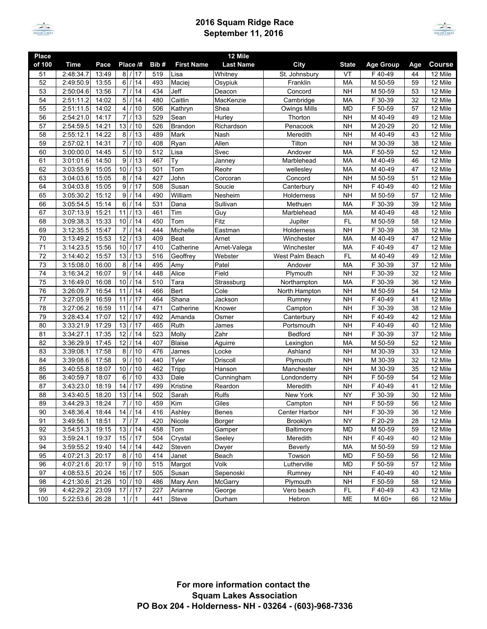

## **2016 Squam Ridge Race September 11, 2016**



| <b>Place</b>    |             |       |                                   |      |                   | 12 Mile            |                     |              |                  |     |               |
|-----------------|-------------|-------|-----------------------------------|------|-------------------|--------------------|---------------------|--------------|------------------|-----|---------------|
| of 100          | <b>Time</b> | Pace  | Place /#                          | Bib# | <b>First Name</b> | <b>Last Name</b>   | City                | <b>State</b> | <b>Age Group</b> | Age | <b>Course</b> |
| 51              | 2:48:34.7   | 13:49 | 8 / 17                            | 519  | Lisa              | Whitney            | St. Johnsbury       | VT           | F40-49           | 44  | 12 Mile       |
| 52              | 2:49:50.9   | 13:55 | 6/<br>14                          | 493  | Maciej            | Osypiuk            | Franklin            | MA           | M 50-59          | 59  | 12 Mile       |
| 53              | 2:50:04.6   | 13:56 | 7/<br>14                          | 434  | Jeff              | Deacon             | Concord             | <b>NH</b>    | M 50-59          | 53  | 12 Mile       |
| 54              | 2:51:11.2   | 14:02 | 5/<br>14                          | 480  | Caitlin           | MacKenzie          | Cambridge           | MA           | F 30-39          | 32  | 12 Mile       |
| 55              | 2:51:11.5   | 14:02 | 10<br>$\overline{4}$              | 506  | Kathryn           | Shea               | <b>Owings Mills</b> | <b>MD</b>    | F 50-59          | 57  | 12 Mile       |
| 56              | 2:54:21.0   | 14:17 | 13<br>$\overline{7}$              | 529  | Sean              | Hurley             | Thorton             | <b>NH</b>    | M 40-49          | 49  | 12 Mile       |
| 57              | 2:54:59.5   | 14:21 | 13<br>10                          | 526  | <b>Brandon</b>    | Richardson         | Penacook            | <b>NH</b>    | M 20-29          | 20  | 12 Mile       |
| 58              | 2:55:12.1   | 14:22 | 8<br>13                           | 489  | Mark              | Nash               | Meredith            | <b>NH</b>    | M 40-49          | 43  | 12 Mile       |
| 59              | 2:57:02.1   | 14:31 | $\overline{7}$<br>10              | 408  | Ryan              | Allen              | Tilton              | <b>NH</b>    | M 30-39          | 38  | 12 Mile       |
| 60              | 3:00:00.0   | 14:45 | 5/<br>10                          | 512  | Lisa              | Svec               | Andover             | MA           | F 50-59          | 52  | 12 Mile       |
| 61              | 3:01:01.6   | 14:50 | 9 <br>13                          | 467  | Ty                | Janney             | Marblehead          | MA           | M 40-49          | 46  | 12 Mile       |
| 62              | 3:03:55.9   | 15:05 | 10 <sup>1</sup><br>13<br>$\prime$ | 501  | Tom               | Reohr              | wellesley           | MA           | M 40-49          | 47  | 12 Mile       |
| 63              | 3:04:03.6   | 15:05 | 8/<br>14                          | 427  | John              | Corcoran           | Concord             | <b>NH</b>    | M 50-59          | 51  | 12 Mile       |
| 64              | 3:04:03.8   | 15:05 | 9/<br>17                          | 508  | Susan             | Soucie             | Canterbury          | <b>NH</b>    | F 40-49          | 40  | 12 Mile       |
| 65              | 3:05:30.2   | 15:12 | 9/<br>14                          | 490  | William           | Nesheim            | Holderness          | <b>NH</b>    | M 50-59          | 57  | $12$ Mile     |
| 66              | 3:05:54.5   | 15:14 | 6<br>14                           | 531  | Dana              | Sullivan           | Methuen             | MA           | F 30-39          | 39  | 12 Mile       |
| 67              | 3:07:13.9   | 15:21 | 11<br>13                          | 461  | Tim               | Guy                | Marblehead          | <b>MA</b>    | M 40-49          | 48  | 12 Mile       |
| 68              | 3:09:38.3   | 15:33 | 14<br>10                          | 450  | Tom               | Fitz               | Jupiter             | FL           | M 50-59          | 58  | 12 Mile       |
| 69              | 3:12:35.5   | 15:47 | $\overline{7}$<br>14              | 444  | Michelle          | Eastman            | Holderness          | <b>NH</b>    | F 30-39          | 38  | 12 Mile       |
| 70              | 3:13:49.2   | 15:53 | 12<br>13                          | 409  | <b>Beat</b>       | Arnet              | Winchester          | MA           | M 40-49          | 47  | 12 Mile       |
| 71              | 3:14:23.5   | 15:56 | 17<br>10                          | 410  | Catherine         | Arnet-Valega       | Winchester          | MA           | F40-49           | 47  | 12 Mile       |
| 72              | 3:14:40.2   | 15:57 | 13<br>13                          | 516  | Geoffrey          | Webster            | West Palm Beach     | FL.          | M 40-49          | 49  | 12 Mile       |
| 73              | 3:15:08.0   | 16:00 | 8<br>14                           | 495  | Amy               | Patel              | Andover             | MA           | F 30-39          | 37  | 12 Mile       |
| $\overline{74}$ | 3:16:34.2   | 16:07 | 9/<br>14                          | 448  | Alice             | Field              | Plymouth            | <b>NH</b>    | F 30-39          | 32  | 12 Mile       |
| 75              | 3:16:49.0   | 16:08 | 10<br>14                          | 510  | Tara              | Strassburg         | Northampton         | MA           | F 30-39          | 36  | 12 Mile       |
| 76              | 3:26:09.7   | 16:54 | 11<br>14                          | 466  | <b>Bert</b>       | Cole               | North Hampton       | <b>NH</b>    | M 50-59          | 54  | $12$ Mile     |
| 77              | 3:27:05.9   | 16:59 | 17<br>11                          | 464  | Shana             | Jackson            | Rumney              | <b>NH</b>    | F 40-49          | 41  | 12 Mile       |
| 78              | 3:27:06.2   | 16:59 | 11<br>14                          | 471  | Catherine         | Knower             | Campton             | <b>NH</b>    | F 30-39          | 38  | 12 Mile       |
| 79              | 3:28:43.4   | 17:07 | 12<br>17                          | 492  | Amanda            | Osmer              | Canterbury          | <b>NH</b>    | F 40-49          | 42  | 12 Mile       |
| 80              | 3:33:21.9   | 17:29 | 13<br>17                          | 465  | Ruth              | James              | Portsmouth          | <b>NH</b>    | F 40-49          | 40  | 12 Mile       |
| 81              | 3:34:27.1   | 17:35 | 12<br>14                          | 523  | Molly             | $\overline{z}$ ahr | Bedford             | <b>NH</b>    | F 30-39          | 37  | 12 Mile       |
| 82              | 3:36:29.9   | 17:45 | 12<br>14                          | 407  | <b>Blaise</b>     | Aguirre            | Lexington           | MA           | M 50-59          | 52  | 12 Mile       |
| 83              | 3:39:08.1   | 17:58 | 10<br>8                           | 476  | James             | Locke              | Ashland             | <b>NH</b>    | M 30-39          | 33  | 12 Mile       |
| 84              | 3:39:08.6   | 17:58 | 9 <br>10                          | 440  | Tyler             | <b>Driscoll</b>    | Plymouth            | <b>NH</b>    | M 30-39          | 32  | 12 Mile       |
| 85              | 3:40:55.8   | 18:07 | 10<br>10<br>$\prime$              | 462  | Tripp             | Hanson             | Manchester          | <b>NH</b>    | M 30-39          | 35  | 12 Mile       |
| 86              | 3:40:59.7   | 18:07 | 10<br>6                           | 433  | Dale              | Cunningham         | Londonderry         | <b>NH</b>    | F 50-59          | 54  | 12 Mile       |
| 87              | 3:43:23.0   | 18:19 | 14<br>17                          | 499  | Kristine          | Reardon            | Meredith            | <b>NH</b>    | F 40-49          | 41  | 12 Mile       |
| 88              | 3:43:40.5   | 18:20 | 14<br>13                          | 502  | Sarah             | Rulfs              | New York            | <b>NY</b>    | F 30-39          | 30  | 12 Mile       |
| 89              | 3:44:29.3   | 18:24 | 71/<br>10                         | 459  | Kim               | Giles              | Campton             | <b>NH</b>    | F 50-59          | 56  | 12 Mile       |
| 90              | 3:48:36.4   | 18:44 | $14$ / 14                         | 416  | Ashley            | <b>Benes</b>       | Center Harbor       | <b>NH</b>    | F 30-39          | 36  | 12 Mile       |
| 91              | 3:49:56.1   | 18:51 | 7/7                               | 420  | Nicole            | Borger             | Brooklyn            | <b>NY</b>    | F 20-29          | 28  | 12 Mile       |
| 92              | 3:54:51.3   | 19:15 | 13/14                             | 458  | Tom               | Gamper             | Baltimore           | MD           | M 50-59          | 59  | 12 Mile       |
| 93              | 3:59:24.1   | 19:37 | $15$ / 17                         | 504  | Crystal           | Seeley             | Meredith            | <b>NH</b>    | F 40-49          | 40  | 12 Mile       |
| 94              | 3:59:55.2   | 19:40 | $14$ / 14                         | 442  | Steven            | Dwyer              | Beverly             | МA           | M 50-59          | 59  | 12 Mile       |
| 95              | 4:07:21.3   | 20:17 | 8/<br> 10                         | 414  | Janet             | Beach              | Towson              | MD           | F 50-59          | 56  | 12 Mile       |
| 96              | 4:07:21.6   | 20:17 | 9/10                              | 515  | Margot            | Volk               | Lutherville         | MD           | F 50-59          | 57  | 12 Mile       |
| 97              | 4:08:53.5   | 20:24 | 16/<br> 17                        | 505  | Susan             | Sepenoski          | Rumney              | <b>NH</b>    | F 40-49          | 40  | 12 Mile       |
| 98              | 4:21:30.6   | 21:26 | 10/<br> 10                        | 486  | Mary Ann          | McGarry            | Plymouth            | <b>NH</b>    | F 50-59          | 58  | 12 Mile       |
| 99              | 4:42:29.2   | 23:09 | $17$ / 17                         | 227  | Arianne           | George             | Vero beach          | FL           | F 40-49          | 43  | 12 Mile       |
| 100             | 5:22:53.6   | 26:28 | 11/11                             | 441  | Steve             | Durham             | Hebron              | ME           | M 60+            | 66  | 12 Mile       |